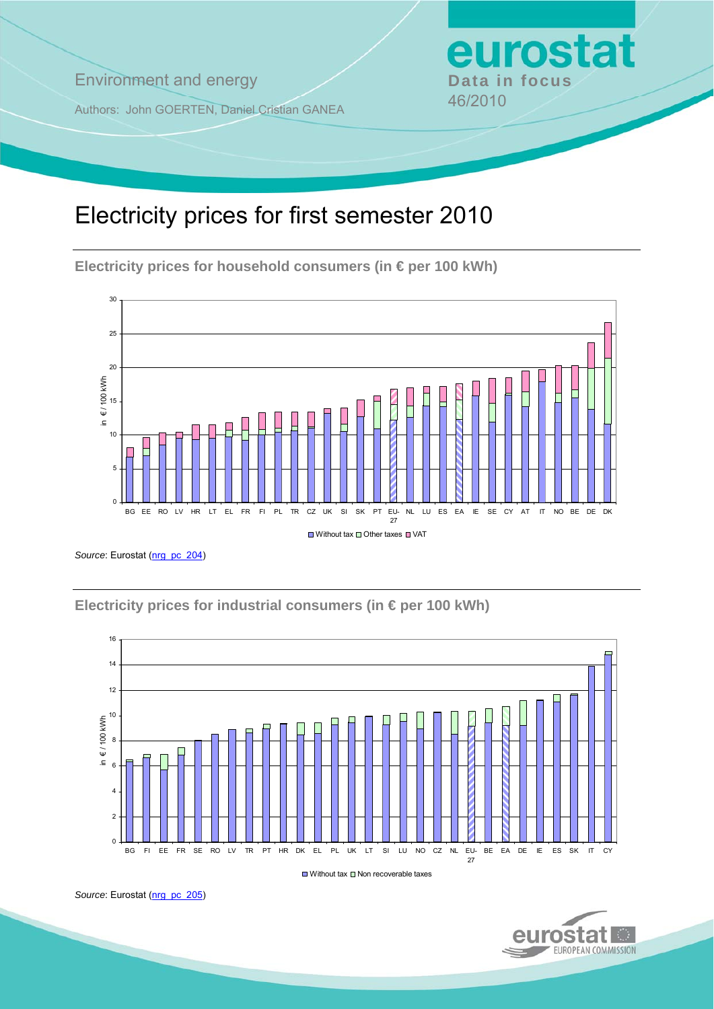**Environment and energy by Data in focus** 

Authors: John GOERTEN, Daniel Cristian GANEA 46/2010

# Electricity prices for first semester 2010

**Electricity prices for household consumers (in € per 100 kWh)** 



Source: Eurostat ([nrg\\_pc\\_204](http://ec.europa.eu/eurostat/product?mode=view&code=nrg_pc_204))

**Electricity prices for industrial consumers (in € per 100 kWh)** 



 $\Box$  Without tax  $\Box$  Non recoverable taxes



eurostat

Source: Eurostat ([nrg\\_pc\\_205](http://ec.europa.eu/eurostat/product?mode=view&code=nrg_pc_205))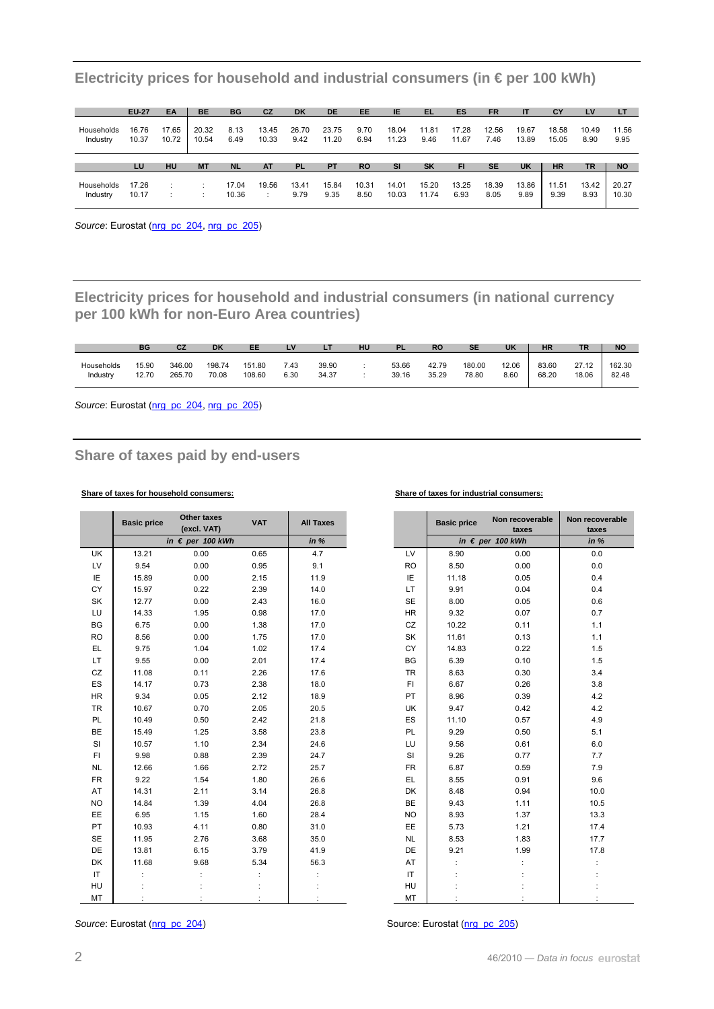|                        | <b>EU-27</b>   | EA             | <b>BE</b>      | <b>BG</b>    | CZ             | <b>DK</b>     | <b>DE</b>      | EE           | IE             | EL.           | ES             | <b>FR</b>     | $\mathbf{H}$   | CY             | LV            | LT            |
|------------------------|----------------|----------------|----------------|--------------|----------------|---------------|----------------|--------------|----------------|---------------|----------------|---------------|----------------|----------------|---------------|---------------|
| Households<br>Industry | 16.76<br>10.37 | 17.65<br>10.72 | 20.32<br>10.54 | 8.13<br>6.49 | 13.45<br>10.33 | 26.70<br>9.42 | 23.75<br>11.20 | 9.70<br>6.94 | 18.04<br>11.23 | 11.81<br>9.46 | 17.28<br>11.67 | 12.56<br>7.46 | 19.67<br>13.89 | 18.58<br>15.05 | 10.49<br>8.90 | 11.56<br>9.95 |
|                        |                |                |                |              |                |               |                |              |                |               |                |               |                |                |               |               |
|                        | LU             | HU             | <b>MT</b>      | <b>NL</b>    | AT             | <b>PL</b>     | <b>PT</b>      | <b>RO</b>    | <b>SI</b>      | <b>SK</b>     | FI.            | <b>SE</b>     | <b>UK</b>      | <b>HR</b>      | TR            | <b>NO</b>     |

**Electricity prices for household and industrial consumers (in € per 100 kWh)** 

Source: Eurostat [\(nrg\\_pc\\_204,](http://ec.europa.eu/eurostat/product?mode=view&code=nrg_pc_204) [nrg\\_pc\\_205\)](http://ec.europa.eu/eurostat/product?mode=view&code=nrg_pc_205)

**Electricity prices for household and industrial consumers (in national currency per 100 kWh for non-Euro Area countries)** 

|            | ΒG    |        | DK     | EE     | $\mathbf{v}$<br>− | LT    | HU | PL    | <b>RO</b> | <b>SE</b> | <b>UK</b> | <b>HR</b> | TR.   | <b>NO</b> |
|------------|-------|--------|--------|--------|-------------------|-------|----|-------|-----------|-----------|-----------|-----------|-------|-----------|
| Households | 15.90 | 346.00 | 198.74 | 151.80 | 7.43              | 39.90 |    | 53.66 | 42.79     | 180.00    | 12.06     | 83.60     | 27.12 | 162.30    |
| Industry   | 12.70 | 265.70 | 70.08  | 108.60 | 6.30              | 34.37 |    | 39.16 | 35.29     | 78.80     | 8.60      | 68.20     | 18.06 | 82.48     |

Source: Eurostat ([nrg\\_pc\\_204](http://ec.europa.eu/eurostat/product?mode=view&code=nrg_pc_204), [nrg\\_pc\\_205\)](http://ec.europa.eu/eurostat/product?mode=view&code=nrg_pc_205)

## **Share of taxes paid by end-users**

### **Share of taxes for household consumers: Share of taxes for industrial consumers:**

|           | <b>Basic price</b> | Other taxes<br>(excl. VAT) | <b>VAT</b> | <b>All Taxes</b> |           | <b>Basic price</b> | Non recoverable<br>taxes  | Non recov<br>taxe: |
|-----------|--------------------|----------------------------|------------|------------------|-----------|--------------------|---------------------------|--------------------|
|           |                    | in $\epsilon$ per 100 kWh  |            | in %             |           |                    | in $\epsilon$ per 100 kWh | in $%$             |
| UK        | 13.21              | 0.00                       | 0.65       | 4.7              | <b>LV</b> | 8.90               | 0.00                      | 0.0                |
| LV        | 9.54               | 0.00                       | 0.95       | 9.1              | <b>RO</b> | 8.50               | 0.00                      | 0.0                |
| IE        | 15.89              | 0.00                       | 2.15       | 11.9             | IE        | 11.18              | 0.05                      | 0.4                |
| CY        | 15.97              | 0.22                       | 2.39       | 14.0             | LT.       | 9.91               | 0.04                      | 0.4                |
| SK        | 12.77              | 0.00                       | 2.43       | 16.0             | <b>SE</b> | 8.00               | 0.05                      | 0.6                |
| LU        | 14.33              | 1.95                       | 0.98       | 17.0             | <b>HR</b> | 9.32               | 0.07                      | 0.7                |
| <b>BG</b> | 6.75               | 0.00                       | 1.38       | 17.0             | CZ        | 10.22              | 0.11                      | 1.1                |
| <b>RO</b> | 8.56               | 0.00                       | 1.75       | 17.0             | SK        | 11.61              | 0.13                      | 1.1                |
| EL.       | 9.75               | 1.04                       | 1.02       | 17.4             | <b>CY</b> | 14.83              | 0.22                      | 1.5                |
| LT.       | 9.55               | 0.00                       | 2.01       | 17.4             | BG        | 6.39               | 0.10                      | 1.5                |
| CZ        | 11.08              | 0.11                       | 2.26       | 17.6             | <b>TR</b> | 8.63               | 0.30                      | 3.4                |
| ES        | 14.17              | 0.73                       | 2.38       | 18.0             | FI.       | 6.67               | 0.26                      | 3.8                |
| <b>HR</b> | 9.34               | 0.05                       | 2.12       | 18.9             | <b>PT</b> | 8.96               | 0.39                      | 4.2                |
| <b>TR</b> | 10.67              | 0.70                       | 2.05       | 20.5             | UK        | 9.47               | 0.42                      | 4.2                |
| PL        | 10.49              | 0.50                       | 2.42       | 21.8             | <b>ES</b> | 11.10              | 0.57                      | 4.9                |
| BE        | 15.49              | 1.25                       | 3.58       | 23.8             | PL        | 9.29               | 0.50                      | 5.1                |
| SI        | 10.57              | 1.10                       | 2.34       | 24.6             | LU.       | 9.56               | 0.61                      | $6.0\,$            |
| FI.       | 9.98               | 0.88                       | 2.39       | 24.7             | SI        | 9.26               | 0.77                      | 7.7                |
| <b>NL</b> | 12.66              | 1.66                       | 2.72       | 25.7             | <b>FR</b> | 6.87               | 0.59                      | $7.9$              |
| <b>FR</b> | 9.22               | 1.54                       | 1.80       | 26.6             | EL.       | 8.55               | 0.91                      | 9.6                |
| AT        | 14.31              | 2.11                       | 3.14       | 26.8             | DK        | 8.48               | 0.94                      | 10.0               |
| <b>NO</b> | 14.84              | 1.39                       | 4.04       | 26.8             | <b>BE</b> | 9.43               | 1.11                      | 10.5               |
| EE        | 6.95               | 1.15                       | 1.60       | 28.4             | <b>NO</b> | 8.93               | 1.37                      | 13.3               |
| <b>PT</b> | 10.93              | 4.11                       | 0.80       | 31.0             | <b>EE</b> | 5.73               | 1.21                      | 17.4               |
| SE        | 11.95              | 2.76                       | 3.68       | 35.0             | <b>NL</b> | 8.53               | 1.83                      | 17.7               |
| DE        | 13.81              | 6.15                       | 3.79       | 41.9             | DE        | 9.21               | 1.99                      | 17.8               |
| DK        | 11.68              | 9.68                       | 5.34       | 56.3             | AT        |                    |                           |                    |
| IT        |                    |                            |            |                  | IT        |                    |                           |                    |
| <b>HU</b> |                    |                            |            |                  | HU        |                    |                           |                    |
| MT        |                    |                            |            |                  | MT        |                    |                           |                    |

| <b>Taxes</b> |           | <b>Basic price</b> | Non recoverable<br>taxes  | Non recoverable<br>taxes |
|--------------|-----------|--------------------|---------------------------|--------------------------|
| in %         |           |                    | in $\epsilon$ per 100 kWh | in %                     |
| 4.7          | LV        | 8.90               | 0.00                      | 0.0                      |
| 9.1          | <b>RO</b> | 8.50               | 0.00                      | 0.0                      |
| 11.9         | IE        | 11.18              | 0.05                      | 0.4                      |
| 14.0         | LT.       | 9.91               | 0.04                      | 0.4                      |
| 16.0         | <b>SE</b> | 8.00               | 0.05                      | 0.6                      |
| 17.0         | HR        | 9.32               | 0.07                      | 0.7                      |
| 17.0         | CZ        | 10.22              | 0.11                      | 1.1                      |
| 17.0         | SK        | 11.61              | 0.13                      | 1.1                      |
| 17.4         | CY        | 14.83              | 0.22                      | 1.5                      |
| 17.4         | BG        | 6.39               | 0.10                      | 1.5                      |
| 17.6         | <b>TR</b> | 8.63               | 0.30                      | 3.4                      |
| 18.0         | FI.       | 6.67               | 0.26                      | 3.8                      |
| 18.9         | PT        | 8.96               | 0.39                      | 4.2                      |
| 20.5         | UK        | 9.47               | 0.42                      | 4.2                      |
| 21.8         | ES        | 11.10              | 0.57                      | 4.9                      |
| 23.8         | PL        | 9.29               | 0.50                      | 5.1                      |
| 24.6         | LU        | 9.56               | 0.61                      | 6.0                      |
| 24.7         | SI        | 9.26               | 0.77                      | 7.7                      |
| 25.7         | <b>FR</b> | 6.87               | 0.59                      | 7.9                      |
| 26.6         | EL.       | 8.55               | 0.91                      | 9.6                      |
| 26.8         | DK        | 8.48               | 0.94                      | 10.0                     |
| 26.8         | BE        | 9.43               | 1.11                      | 10.5                     |
| 28.4         | <b>NO</b> | 8.93               | 1.37                      | 13.3                     |
| 31.0         | EE        | 5.73               | 1.21                      | 17.4                     |
| 35.0         | <b>NL</b> | 8.53               | 1.83                      | 17.7                     |
| 41.9         | <b>DE</b> | 9.21               | 1.99                      | 17.8                     |
| 56.3         | AT        |                    |                           |                          |
|              | IT        |                    |                           |                          |
|              | HU        |                    |                           |                          |
|              | <b>MT</b> |                    |                           |                          |

Source: Eurostat ([nrg\\_pc\\_204](http://ec.europa.eu/eurostat/product?mode=view&code=nrg_pc_204)) Source: Eurostat [\(nrg\\_pc\\_205\)](http://ec.europa.eu/eurostat/product?mode=view&code=nrg_pc_205)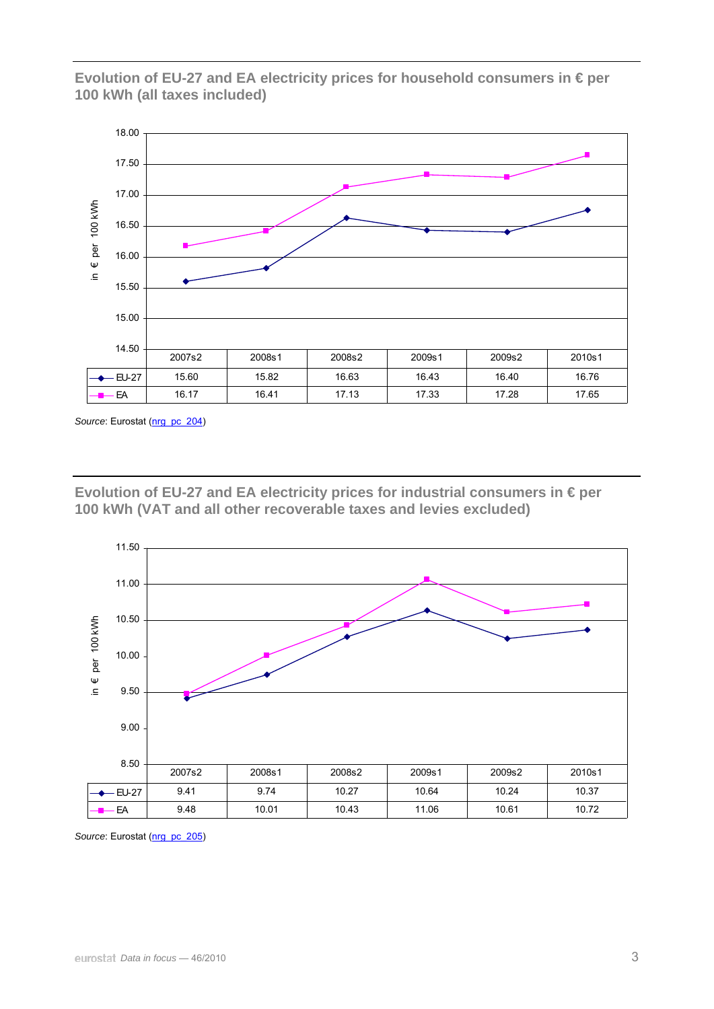**Evolution of EU-27 and EA electricity prices for household consumers in € per 100 kWh (all taxes included)** 



Source: Eurostat ([nrg\\_pc\\_204](http://ec.europa.eu/eurostat/product?mode=view&code=nrg_pc_204))

**Evolution of EU-27 and EA electricity prices for industrial consumers in € per 100 kWh (VAT and all other recoverable taxes and levies excluded)** 



*Source*: Eurostat [\(nrg\\_pc\\_205](http://ec.europa.eu/eurostat/product?mode=view&code=nrg_pc_205))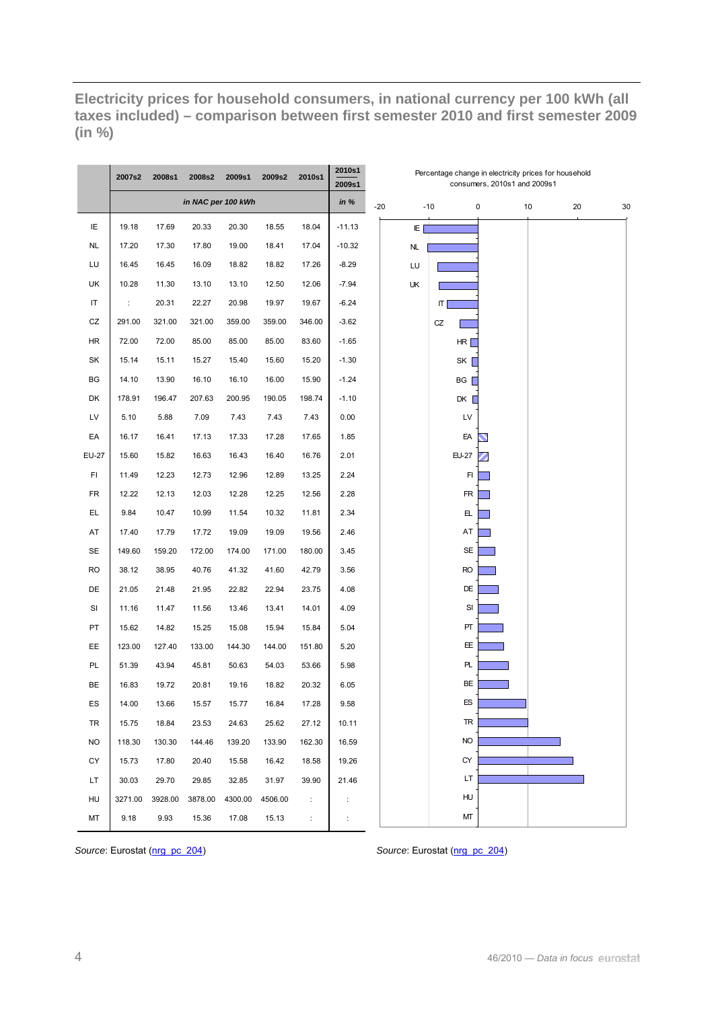**Electricity prices for household consumers, in national currency per 100 kWh (all taxes included) – comparison between first semester 2010 and first semester 2009 (in %)** 

|            | 2007s2  | 2008s1  | 2008s2             | 2009s1  | 2009s2  | 2010s1    | 2010s1<br>2009s1     |           |                    | consumers, 2010s1 and 2009s1 | Percentage change in electricity prices for household |          |  |
|------------|---------|---------|--------------------|---------|---------|-----------|----------------------|-----------|--------------------|------------------------------|-------------------------------------------------------|----------|--|
|            |         |         | in NAC per 100 kWh |         |         |           | in $%$               | $-20$     | $-10$              | 0                            | 10                                                    | 20<br>30 |  |
| IE         | 19.18   | 17.69   | 20.33              | 20.30   | 18.55   | 18.04     | $-11.13$             | E         |                    |                              |                                                       |          |  |
| <b>NL</b>  | 17.20   | 17.30   | 17.80              | 19.00   | 18.41   | 17.04     | $-10.32$             | <b>NL</b> |                    |                              |                                                       |          |  |
| LU         | 16.45   | 16.45   | 16.09              | 18.82   | 18.82   | 17.26     | $-8.29$              | LU        |                    |                              |                                                       |          |  |
| UK         | 10.28   | 11.30   | 13.10              | 13.10   | 12.50   | 12.06     | $-7.94$              | UK        |                    |                              |                                                       |          |  |
| $\sf IT$   | ÷       | 20.31   | 22.27              | 20.98   | 19.97   | 19.67     | $-6.24$              |           | $\vert \tau \vert$ |                              |                                                       |          |  |
| ${\tt CZ}$ | 291.00  | 321.00  | 321.00             | 359.00  | 359.00  | 346.00    | $-3.62$              |           | CZ                 |                              |                                                       |          |  |
| HR         | 72.00   | 72.00   | 85.00              | 85.00   | 85.00   | 83.60     | $-1.65$              |           | HR                 |                              |                                                       |          |  |
| SK         | 15.14   | 15.11   | 15.27              | 15.40   | 15.60   | 15.20     | $-1.30$              |           | SK                 |                              |                                                       |          |  |
| BG         | 14.10   | 13.90   | 16.10              | 16.10   | 16.00   | 15.90     | $-1.24$              |           | BG                 |                              |                                                       |          |  |
| DK         | 178.91  | 196.47  | 207.63             | 200.95  | 190.05  | 198.74    | $-1.10$              |           | DK                 |                              |                                                       |          |  |
| LV         | 5.10    | 5.88    | 7.09               | 7.43    | 7.43    | 7.43      | 0.00                 |           | LV                 |                              |                                                       |          |  |
| EA         | 16.17   | 16.41   | 17.13              | 17.33   | 17.28   | 17.65     | 1.85                 |           | EA                 |                              |                                                       |          |  |
| EU-27      | 15.60   | 15.82   | 16.63              | 16.43   | 16.40   | 16.76     | 2.01                 |           | <b>EU-27</b>       |                              |                                                       |          |  |
| FI         | 11.49   | 12.23   | 12.73              | 12.96   | 12.89   | 13.25     | 2.24                 |           | FI                 |                              |                                                       |          |  |
| <b>FR</b>  | 12.22   | 12.13   | 12.03              | 12.28   | 12.25   | 12.56     | 2.28                 |           | FR                 |                              |                                                       |          |  |
| EL.        | 9.84    | 10.47   | 10.99              | 11.54   | 10.32   | 11.81     | 2.34                 |           | 且                  |                              |                                                       |          |  |
| AT         | 17.40   | 17.79   | 17.72              | 19.09   | 19.09   | 19.56     | 2.46                 |           | AT                 |                              |                                                       |          |  |
| <b>SE</b>  | 149.60  | 159.20  | 172.00             | 174.00  | 171.00  | 180.00    | 3.45                 |           | <b>SE</b>          |                              |                                                       |          |  |
| <b>RO</b>  | 38.12   | 38.95   | 40.76              | 41.32   | 41.60   | 42.79     | 3.56                 |           | <b>RO</b>          |                              |                                                       |          |  |
| DE         | 21.05   | 21.48   | 21.95              | 22.82   | 22.94   | 23.75     | 4.08                 |           | DE                 |                              |                                                       |          |  |
| SI         | 11.16   | 11.47   | 11.56              | 13.46   | 13.41   | 14.01     | 4.09                 |           | SI                 |                              |                                                       |          |  |
| PT         | 15.62   | 14.82   | 15.25              | 15.08   | 15.94   | 15.84     | 5.04                 |           | PT                 |                              |                                                       |          |  |
| EE.        | 123.00  | 127.40  | 133.00             | 144.30  | 144.00  | 151.80    | 5.20                 |           | EE.                |                              |                                                       |          |  |
| PL         | 51.39   | 43.94   | 45.81              | 50.63   | 54.03   | 53.66     | 5.98                 |           | PL.                |                              |                                                       |          |  |
| <b>BE</b>  | 16.83   | 19.72   | 20.81              | 19.16   | 18.82   | 20.32     | 6.05                 |           | BE                 |                              |                                                       |          |  |
| ES         | 14.00   | 13.66   | 15.57              | 15.77   | 16.84   | 17.28     | 9.58                 |           | ES                 |                              |                                                       |          |  |
| TR         | 15.75   | 18.84   | 23.53              | 24.63   | 25.62   | 27.12     | 10.11                |           | TR                 |                              |                                                       |          |  |
| <b>NO</b>  | 118.30  | 130.30  | 144.46             | 139.20  | 133.90  | 162.30    | 16.59                |           | <b>NO</b>          |                              |                                                       |          |  |
| CY         | 15.73   | 17.80   | 20.40              | 15.58   | 16.42   | 18.58     | 19.26                |           | CY                 |                              |                                                       |          |  |
| LT         | 30.03   | 29.70   | 29.85              | 32.85   | 31.97   | 39.90     | 21.46                |           | LT.                |                              |                                                       |          |  |
| HU         | 3271.00 | 3928.00 | 3878.00            | 4300.00 | 4506.00 | $\sim 10$ | $\ddot{\phantom{a}}$ |           | HU                 |                              |                                                       |          |  |
| MT         | 9.18    | 9.93    | 15.36              | 17.08   | 15.13   | ÷         | $\ddot{\cdot}$       |           | МТ                 |                              |                                                       |          |  |

*Source*: Eurostat [\(nrg\\_pc\\_204\)](http://ec.europa.eu/eurostat/product?mode=view&code=nrg_pc_204) *Source*: Eurostat [\(nrg\\_pc\\_204\)](http://ec.europa.eu/eurostat/product?mode=view&code=nrg_pc_204)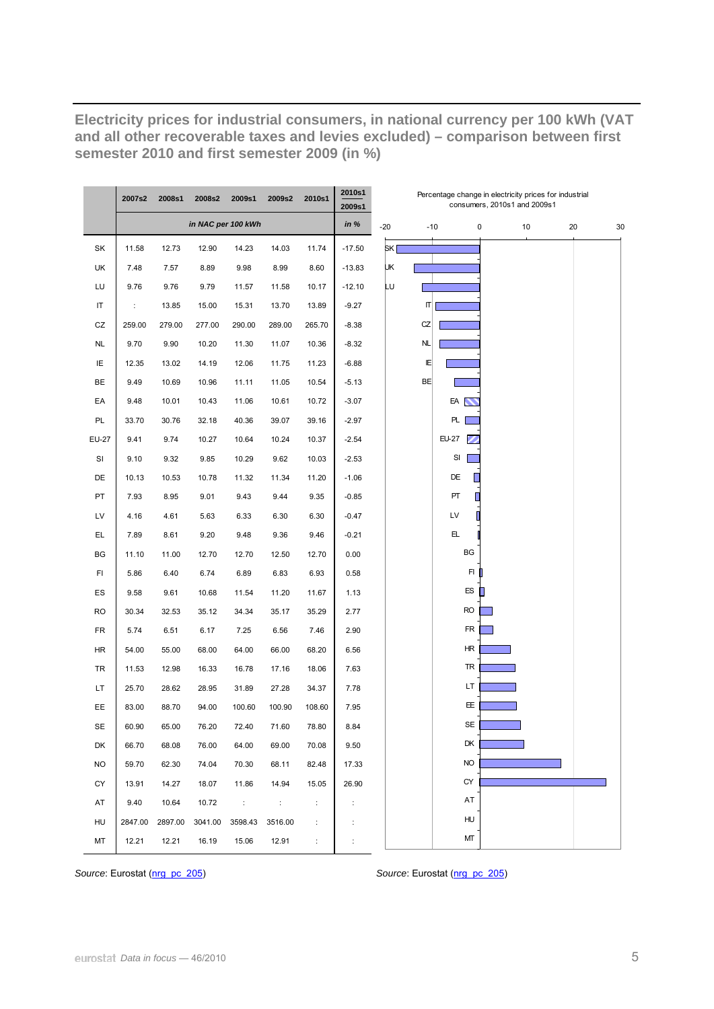**Electricity prices for industrial consumers, in national currency per 100 kWh (VAT and all other recoverable taxes and levies excluded) – comparison between first semester 2010 and first semester 2009 (in %)** 

|           | 2007s2  | 2008s1  | 2008s2             | 2009s1      | 2009s2  | 2010s1 | 2010s1<br>2009s1 |       |           | Percentage change in electricity prices for industrial | consumers, 2010s1 and 2009s1 |    |    |    |
|-----------|---------|---------|--------------------|-------------|---------|--------|------------------|-------|-----------|--------------------------------------------------------|------------------------------|----|----|----|
|           |         |         | in NAC per 100 kWh |             |         |        | in $%$           | $-20$ | $-10$     | 0                                                      |                              | 10 | 20 | 30 |
| SK        | 11.58   | 12.73   | 12.90              | 14.23       | 14.03   | 11.74  | $-17.50$         | SK I  |           |                                                        |                              |    |    |    |
| UK        | 7.48    | 7.57    | 8.89               | 9.98        | 8.99    | 8.60   | $-13.83$         | UΚ    |           |                                                        |                              |    |    |    |
| LU        | 9.76    | 9.76    | 9.79               | 11.57       | 11.58   | 10.17  | $-12.10$         | Lυ    |           |                                                        |                              |    |    |    |
| IT        | ÷       | 13.85   | 15.00              | 15.31       | 13.70   | 13.89  | $-9.27$          |       | П         |                                                        |                              |    |    |    |
| CZ        | 259.00  | 279.00  | 277.00             | 290.00      | 289.00  | 265.70 | $-8.38$          |       | CZ        |                                                        |                              |    |    |    |
| NL        | 9.70    | 9.90    | 10.20              | 11.30       | 11.07   | 10.36  | $-8.32$          |       | <b>NL</b> |                                                        |                              |    |    |    |
| IE        | 12.35   | 13.02   | 14.19              | 12.06       | 11.75   | 11.23  | $-6.88$          |       | IE        |                                                        |                              |    |    |    |
| <b>BE</b> | 9.49    | 10.69   | 10.96              | 11.11       | 11.05   | 10.54  | $-5.13$          |       | <b>BE</b> |                                                        |                              |    |    |    |
| EA        | 9.48    | 10.01   | 10.43              | 11.06       | 10.61   | 10.72  | $-3.07$          |       |           | EA                                                     |                              |    |    |    |
| PL        | 33.70   | 30.76   | 32.18              | 40.36       | 39.07   | 39.16  | $-2.97$          |       |           | PL.                                                    |                              |    |    |    |
| EU-27     | 9.41    | 9.74    | 10.27              | 10.64       | 10.24   | 10.37  | $-2.54$          |       |           | EU-27                                                  |                              |    |    |    |
| <b>SI</b> | 9.10    | 9.32    | 9.85               | 10.29       | 9.62    | 10.03  | $-2.53$          |       |           | SI                                                     |                              |    |    |    |
| DE        | 10.13   | 10.53   | 10.78              | 11.32       | 11.34   | 11.20  | $-1.06$          |       |           | DE                                                     |                              |    |    |    |
| PT        | 7.93    | 8.95    | 9.01               | 9.43        | 9.44    | 9.35   | $-0.85$          |       |           | PT                                                     |                              |    |    |    |
| LV        | 4.16    | 4.61    | 5.63               | 6.33        | 6.30    | 6.30   | $-0.47$          |       |           | LV                                                     |                              |    |    |    |
| EL.       | 7.89    | 8.61    | 9.20               | 9.48        | 9.36    | 9.46   | $-0.21$          |       |           | ЕЦ.                                                    |                              |    |    |    |
| BG        | 11.10   | 11.00   | 12.70              | 12.70       | 12.50   | 12.70  | 0.00             |       |           | BG                                                     |                              |    |    |    |
| FI.       | 5.86    | 6.40    | 6.74               | 6.89        | 6.83    | 6.93   | 0.58             |       |           | FI                                                     |                              |    |    |    |
| ES        | 9.58    | 9.61    | 10.68              | 11.54       | 11.20   | 11.67  | 1.13             |       |           | ES                                                     |                              |    |    |    |
| <b>RO</b> | 30.34   | 32.53   | 35.12              | 34.34       | 35.17   | 35.29  | 2.77             |       |           | <b>RO</b>                                              |                              |    |    |    |
| FR        | 5.74    | 6.51    | 6.17               | 7.25        | 6.56    | 7.46   | 2.90             |       |           | <b>FR</b>                                              |                              |    |    |    |
| HR        | 54.00   | 55.00   | 68.00              | 64.00       | 66.00   | 68.20  | 6.56             |       |           | ΗR                                                     |                              |    |    |    |
| TR        | 11.53   | 12.98   | 16.33              | 16.78       | 17.16   | 18.06  | 7.63             |       |           | TR                                                     |                              |    |    |    |
| LT.       | 25.70   | 28.62   | 28.95              | 31.89       | 27.28   | 34.37  | 7.78             |       |           | LT                                                     |                              |    |    |    |
| EE.       | 83.00   | 88.70   | 94.00              | 100.60      | 100.90  | 108.60 | 7.95             |       |           | EE.                                                    |                              |    |    |    |
| SE        | 60.90   | 65.00   | 76.20              | 72.40       | 71.60   | 78.80  | 8.84             |       |           | SE                                                     |                              |    |    |    |
| DK        | 66.70   | 68.08   | 76.00              | 64.00       | 69.00   | 70.08  | 9.50             |       |           | DK                                                     |                              |    |    |    |
| <b>NO</b> | 59.70   | 62.30   | 74.04              | 70.30       | 68.11   | 82.48  | 17.33            |       |           | <b>NO</b>                                              |                              |    |    |    |
| СY        | 13.91   | 14.27   | 18.07              | 11.86       | 14.94   | 15.05  | 26.90            |       |           | <b>CY</b>                                              |                              |    |    |    |
| AT        | 9.40    | 10.64   | 10.72              | $\sim 10^6$ | ÷       | ÷      | ÷                |       |           | AT                                                     |                              |    |    |    |
| HU        | 2847.00 | 2897.00 | 3041.00            | 3598.43     | 3516.00 | ÷      | ÷                |       |           | HU                                                     |                              |    |    |    |
| MT        | 12.21   | 12.21   | 16.19              | 15.06       | 12.91   | ÷      | ÷                |       |           | МТ                                                     |                              |    |    |    |

*Source*: Eurostat ([nrg\\_pc\\_205](http://ec.europa.eu/eurostat/product?mode=view&code=nrg_pc_205)) *Source*: Eurostat [\(nrg\\_pc\\_205\)](http://ec.europa.eu/eurostat/product?mode=view&code=nrg_pc_205)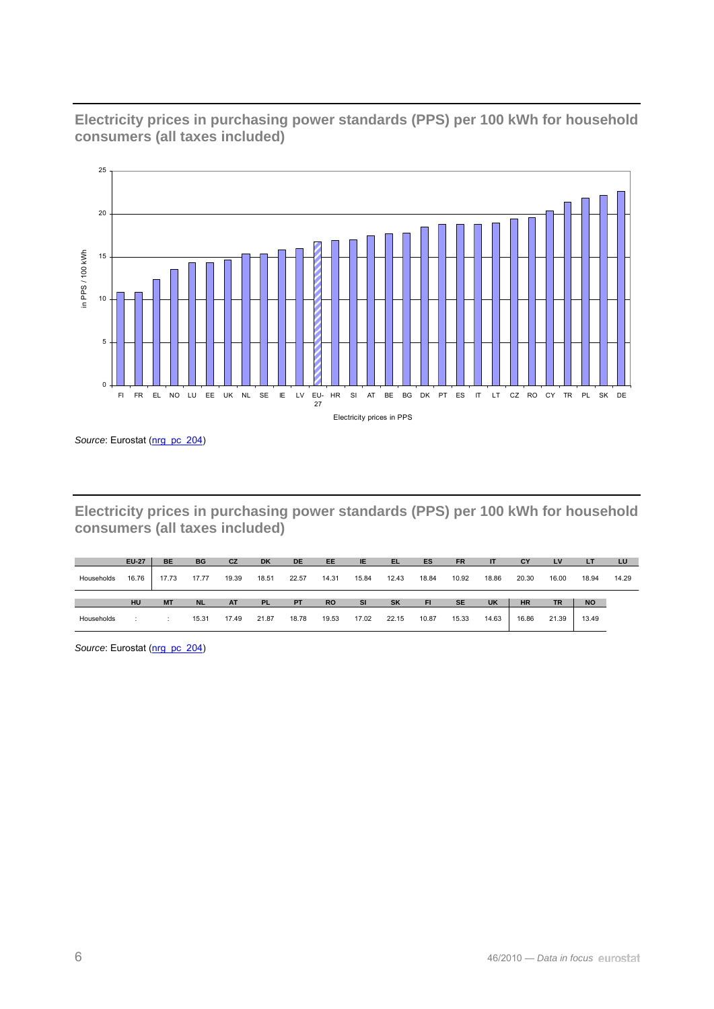

**Electricity prices in purchasing power standards (PPS) per 100 kWh for household consumers (all taxes included)** 

Source: Eurostat ([nrg\\_pc\\_204](http://ec.europa.eu/eurostat/product?mode=view&code=nrg_pc_204))

**Electricity prices in purchasing power standards (PPS) per 100 kWh for household consumers (all taxes included)** 

|            | <b>EU-27</b> | <b>BE</b> | <b>BG</b> | CZ        | <b>DK</b> | <b>DE</b> | EE        | <b>IE</b> | EL        | ES        | <b>FR</b> | <b>IT</b> | CY        | LV        | LT        | LU    |
|------------|--------------|-----------|-----------|-----------|-----------|-----------|-----------|-----------|-----------|-----------|-----------|-----------|-----------|-----------|-----------|-------|
| Households | 16.76        | 17.73     | 17.77     | 19.39     | 18.51     | 22.57     | 14.31     | 15.84     | 12.43     | 18.84     | 10.92     | 18.86     | 20.30     | 16.00     | 18.94     | 14.29 |
|            |              |           |           |           |           |           |           |           |           |           |           |           |           |           |           |       |
|            | HU           | <b>MT</b> | <b>NL</b> | <b>AT</b> | <b>PL</b> | <b>PT</b> | <b>RO</b> | <b>SI</b> | <b>SK</b> | <b>FI</b> | <b>SE</b> | <b>UK</b> | <b>HR</b> | <b>TR</b> | <b>NO</b> |       |

Source: Eurostat ([nrg\\_pc\\_204](http://ec.europa.eu/eurostat/product?mode=view&code=nrg_pc_204))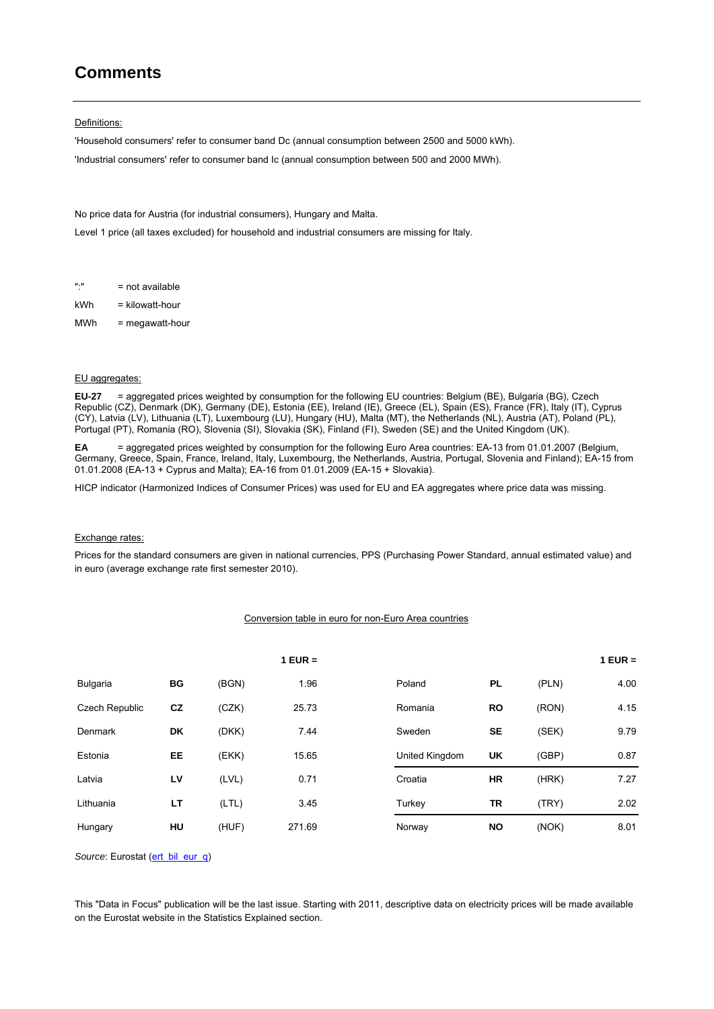# **Comments**

#### Definitions:

'Household consumers' refer to consumer band Dc (annual consumption between 2500 and 5000 kWh). 'Industrial consumers' refer to consumer band Ic (annual consumption between 500 and 2000 MWh).

No price data for Austria (for industrial consumers), Hungary and Malta.

Level 1 price (all taxes excluded) for household and industrial consumers are missing for Italy.

":" = not available

kWh = kilowatt-hour

MWh = megawatt-hour

#### EU aggregates:

**EU-27** = aggregated prices weighted by consumption for the following EU countries: Belgium (BE), Bulgaria (BG), Czech Republic (CZ), Denmark (DK), Germany (DE), Estonia (EE), Ireland (IE), Greece (EL), Spain (ES), France (FR), Italy (IT), Cyprus (CY), Latvia (LV), Lithuania (LT), Luxembourg (LU), Hungary (HU), Malta (MT), the Netherlands (NL), Austria (AT), Poland (PL), Portugal (PT), Romania (RO), Slovenia (SI), Slovakia (SK), Finland (FI), Sweden (SE) and the United Kingdom (UK).

**EA** = aggregated prices weighted by consumption for the following Euro Area countries: EA-13 from 01.01.2007 (Belgium, Germany, Greece, Spain, France, Ireland, Italy, Luxembourg, the Netherlands, Austria, Portugal, Slovenia and Finland); EA-15 from 01.01.2008 (EA-13 + Cyprus and Malta); EA-16 from 01.01.2009 (EA-15 + Slovakia).

HICP indicator (Harmonized Indices of Consumer Prices) was used for EU and EA aggregates where price data was missing.

#### Exchange rates:

Prices for the standard consumers are given in national currencies, PPS (Purchasing Power Standard, annual estimated value) and in euro (average exchange rate first semester 2010).

#### Conversion table in euro for non-Euro Area countries

|                 |    |       | $1$ EUR = |                |           |       | $1$ EUR = |
|-----------------|----|-------|-----------|----------------|-----------|-------|-----------|
| <b>Bulgaria</b> | ВG | (BGN) | 1.96      | Poland         | <b>PL</b> | (PLN) | 4.00      |
| Czech Republic  | cz | (CZK) | 25.73     | Romania        | <b>RO</b> | (RON) | 4.15      |
| <b>Denmark</b>  | DK | (DKK) | 7.44      | Sweden         | <b>SE</b> | (SEK) | 9.79      |
| Estonia         | EE | (EKK) | 15.65     | United Kingdom | UK        | (GBP) | 0.87      |
| Latvia          | LV | (LVL) | 0.71      | Croatia        | <b>HR</b> | (HRK) | 7.27      |
| Lithuania       | LT | (LTL) | 3.45      | Turkey         | TR        | (TRY) | 2.02      |
| Hungary         | HU | (HUF) | 271.69    | Norway         | <b>NO</b> | (NOK) | 8.01      |

*Source*: Eurostat ([ert\\_bil\\_eur\\_q](http://ec.europa.eu/eurostat/product?mode=view&code=ert_bil_eur_q))

This "Data in Focus" publication will be the last issue. Starting with 2011, descriptive data on electricity prices will be made available on the Eurostat website in the Statistics Explained section.